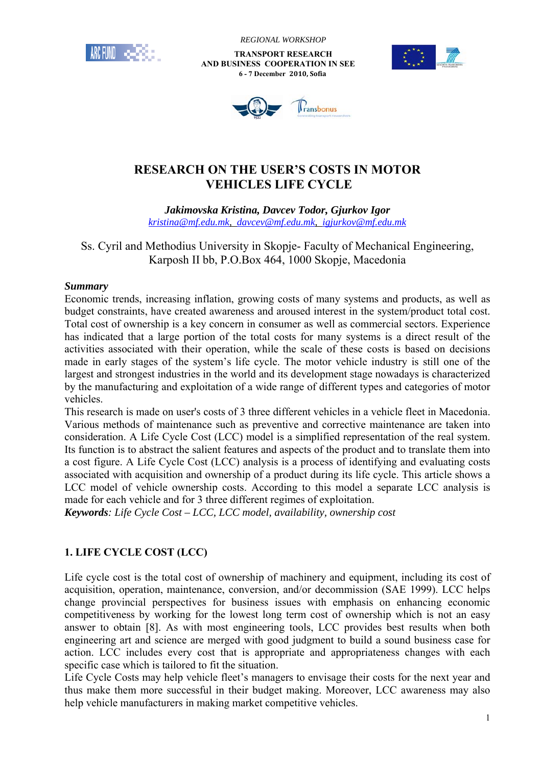

 *REGIONAL WORKSHOP*

 **TRANSPORT RESEARCH AND BUSINESS COOPERATION IN SEE 6 - 7 December 2010, Sofia**





# **RESEARCH ON THE USER'S COSTS IN MOTOR VEHICLES LIFE CYCLE**

*Jakimovska Kristina, Davcev Todor, Gjurkov Igor kristina@mf.edu.mk, davcev@mf.edu.mk, igjurkov@mf.edu.mk*

Ss. Cyril and Methodius University in Skopje- Faculty of Mechanical Engineering, Karposh II bb, P.O.Box 464, 1000 Skopje, Macedonia

### *Summary*

Economic trends, increasing inflation, growing costs of many systems and products, as well as budget constraints, have created awareness and aroused interest in the system/product total cost. Total cost of ownership is a key concern in consumer as well as commercial sectors. Experience has indicated that a large portion of the total costs for many systems is a direct result of the activities associated with their operation, while the scale of these costs is based on decisions made in early stages of the system's life cycle. The motor vehicle industry is still one of the largest and strongest industries in the world and its development stage nowadays is characterized by the manufacturing and exploitation of a wide range of different types and categories of motor vehicles.

This research is made on user's costs of 3 three different vehicles in a vehicle fleet in Macedonia. Various methods of maintenance such as preventive and corrective maintenance are taken into consideration. A Life Cycle Cost (LCC) model is a simplified representation of the real system. Its function is to abstract the salient features and aspects of the product and to translate them into a cost figure. A Life Cycle Cost (LCC) analysis is a process of identifying and evaluating costs associated with acquisition and ownership of a product during its life cycle. This article shows a LCC model of vehicle ownership costs. According to this model a separate LCC analysis is made for each vehicle and for 3 three different regimes of exploitation.

*Keywords: Life Cycle Cost – LCC, LCC model, availability, ownership cost* 

## **1. LIFE CYCLE COST (LCC)**

Life cycle cost is the total cost of ownership of machinery and equipment, including its cost of acquisition, operation, maintenance, conversion, and/or decommission (SAE 1999). LCC helps change provincial perspectives for business issues with emphasis on enhancing economic competitiveness by working for the lowest long term cost of ownership which is not an easy answer to obtain [8]. As with most engineering tools, LCC provides best results when both engineering art and science are merged with good judgment to build a sound business case for action. LCC includes every cost that is appropriate and appropriateness changes with each specific case which is tailored to fit the situation.

Life Cycle Costs may help vehicle fleet's managers to envisage their costs for the next year and thus make them more successful in their budget making. Moreover, LCC awareness may also help vehicle manufacturers in making market competitive vehicles.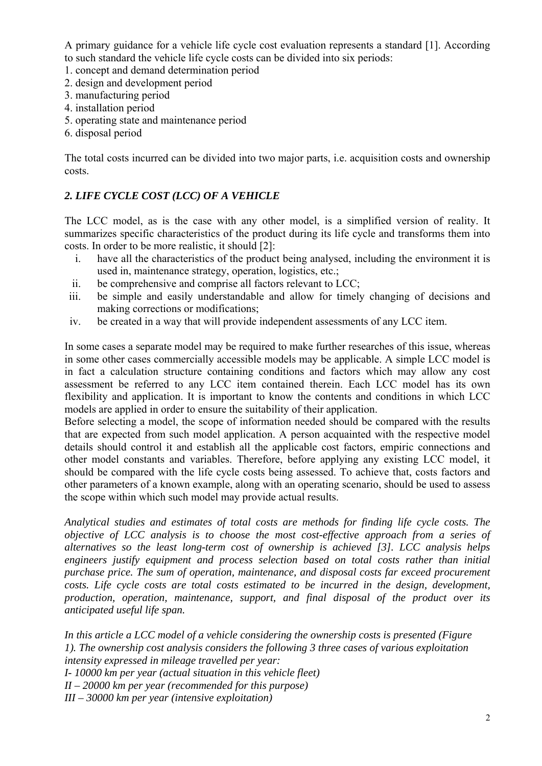A primary guidance for a vehicle life cycle cost evaluation represents a standard [1]. According to such standard the vehicle life cycle costs can be divided into six periods:

- 1. concept and demand determination period
- 2. design and development period
- 3. manufacturing period
- 4. installation period
- 5. operating state and maintenance period
- 6. disposal period

The total costs incurred can be divided into two major parts, i.e. acquisition costs and ownership costs.

## *2. LIFE CYCLE COST (LCC) OF A VEHICLE*

The LCC model, as is the case with any other model, is a simplified version of reality. It summarizes specific characteristics of the product during its life cycle and transforms them into costs. In order to be more realistic, it should [2]:

- i. have all the characteristics of the product being analysed, including the environment it is used in, maintenance strategy, operation, logistics, etc.;
- ii. be comprehensive and comprise all factors relevant to LCC;
- iii. be simple and easily understandable and allow for timely changing of decisions and making corrections or modifications;
- iv. be created in a way that will provide independent assessments of any LCC item.

In some cases a separate model may be required to make further researches of this issue, whereas in some other cases commercially accessible models may be applicable. A simple LCC model is in fact a calculation structure containing conditions and factors which may allow any cost assessment be referred to any LCC item contained therein. Each LCC model has its own flexibility and application. It is important to know the contents and conditions in which LCC models are applied in order to ensure the suitability of their application.

Before selecting a model, the scope of information needed should be compared with the results that are expected from such model application. A person acquainted with the respective model details should control it and establish all the applicable cost factors, empiric connections and other model constants and variables. Therefore, before applying any existing LCC model, it should be compared with the life cycle costs being assessed. To achieve that, costs factors and other parameters of a known example, along with an operating scenario, should be used to assess the scope within which such model may provide actual results.

*Analytical studies and estimates of total costs are methods for finding life cycle costs. The objective of LCC analysis is to choose the most cost-effective approach from a series of alternatives so the least long-term cost of ownership is achieved [3]. LCC analysis helps engineers justify equipment and process selection based on total costs rather than initial purchase price. The sum of operation, maintenance, and disposal costs far exceed procurement costs. Life cycle costs are total costs estimated to be incurred in the design, development, production, operation, maintenance, support, and final disposal of the product over its anticipated useful life span.* 

*In this article a LCC model of a vehicle considering the ownership costs is presented (Figure 1). The ownership cost analysis considers the following 3 three cases of various exploitation intensity expressed in mileage travelled per year: I- 10000 km per year (actual situation in this vehicle fleet)* 

*II – 20000 km per year (recommended for this purpose)* 

*III – 30000 km per year (intensive exploitation)*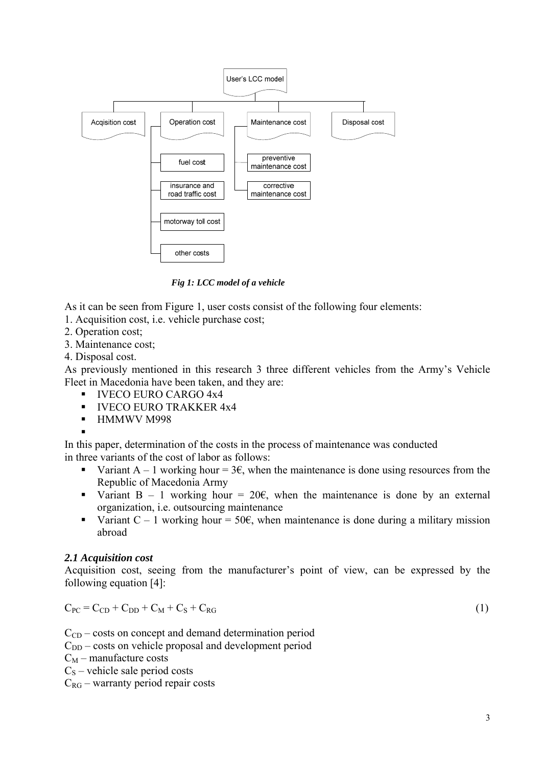

 *Fig 1: LCC model of a vehicle* 

As it can be seen from Figure 1, user costs consist of the following four elements:

1. Acquisition cost, i.e. vehicle purchase cost;

- 2. Operation cost;
- 3. Maintenance cost;
- 4. Disposal cost.

As previously mentioned in this research 3 three different vehicles from the Army's Vehicle Fleet in Macedonia have been taken, and they are:

- **IVECO EURO CARGO 4x4**
- **IVECO EURO TRAKKER 4x4**
- **HMMWV M998**

 $\blacksquare$ 

In this paper, determination of the costs in the process of maintenance was conducted in three variants of the cost of labor as follows:

- Variant A 1 working hour =  $3\epsilon$ , when the maintenance is done using resources from the Republic of Macedonia Army
- Variant B 1 working hour =  $20 \epsilon$ , when the maintenance is done by an external organization, i.e. outsourcing maintenance
- Variant  $C 1$  working hour = 50 $\epsilon$ , when maintenance is done during a military mission abroad

## *2.1 Acquisition cost*

Acquisition cost, seeing from the manufacturer's point of view, can be expressed by the following equation [4]:

$$
C_{PC} = C_{CD} + C_{DD} + C_M + C_S + C_{RG}
$$
\n
$$
(1)
$$

 $C_{CD}$  – costs on concept and demand determination period

 $C_{DD}$  – costs on vehicle proposal and development period

 $C_M$  – manufacture costs

 $C<sub>S</sub>$  – vehicle sale period costs

 $C_{RG}$  – warranty period repair costs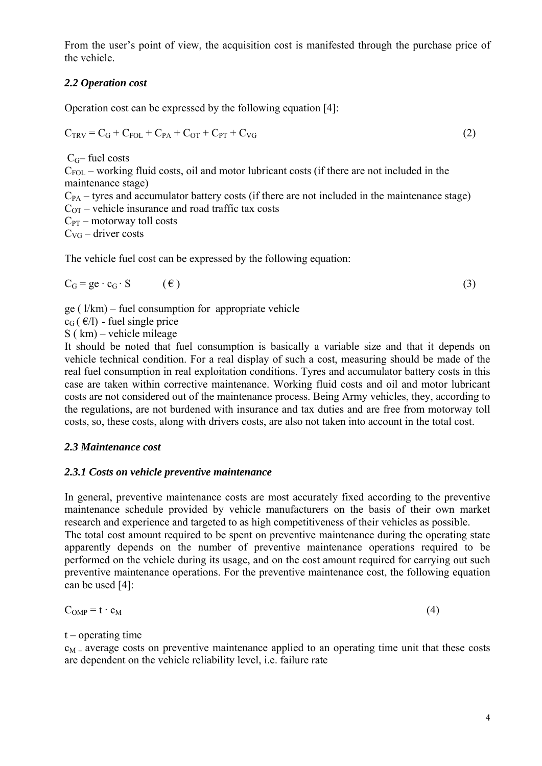From the user's point of view, the acquisition cost is manifested through the purchase price of the vehicle.

## *2.2 Operation cost*

Operation cost can be expressed by the following equation [4]:

$$
C_{TRV} = C_G + C_{FOL} + C_{PA} + C_{OT} + C_{PT} + C_{VG}
$$
\n
$$
(2)
$$

 $C<sub>G</sub>$ – fuel costs

 $C_{FOL}$  – working fluid costs, oil and motor lubricant costs (if there are not included in the maintenance stage)

 $C_{PA}$  – tyres and accumulator battery costs (if there are not included in the maintenance stage)  $C<sub>OT</sub>$  – vehicle insurance and road traffic tax costs

 $C_{PT}$  – motorway toll costs

 $C_{\text{VG}}$  – driver costs

The vehicle fuel cost can be expressed by the following equation:

$$
C_G = ge \cdot c_G \cdot S \qquad (\epsilon)
$$
 (3)

ge ( $1/km$ ) – fuel consumption for appropriate vehicle

 $c_G$  ( $\epsilon/l$ ) - fuel single price

S ( km) – vehicle mileage

It should be noted that fuel consumption is basically a variable size and that it depends on vehicle technical condition. For a real display of such a cost, measuring should be made of the real fuel consumption in real exploitation conditions. Tyres and accumulator battery costs in this case are taken within corrective maintenance. Working fluid costs and oil and motor lubricant costs are not considered out of the maintenance process. Being Army vehicles, they, according to the regulations, are not burdened with insurance and tax duties and are free from motorway toll costs, so, these costs, along with drivers costs, are also not taken into account in the total cost.

## *2.3 Maintenance cost*

## *2.3.1 Costs on vehicle preventive maintenance*

In general, preventive maintenance costs are most accurately fixed according to the preventive maintenance schedule provided by vehicle manufacturers on the basis of their own market research and experience and targeted to as high competitiveness of their vehicles as possible. The total cost amount required to be spent on preventive maintenance during the operating state apparently depends on the number of preventive maintenance operations required to be performed on the vehicle during its usage, and on the cost amount required for carrying out such preventive maintenance operations. For the preventive maintenance cost, the following equation can be used [4]:

$$
C_{OMP} = t \cdot c_M \tag{4}
$$

t **–** operating time

cM **–** average costs on preventive maintenance applied to an operating time unit that these costs are dependent on the vehicle reliability level, i.e. failure rate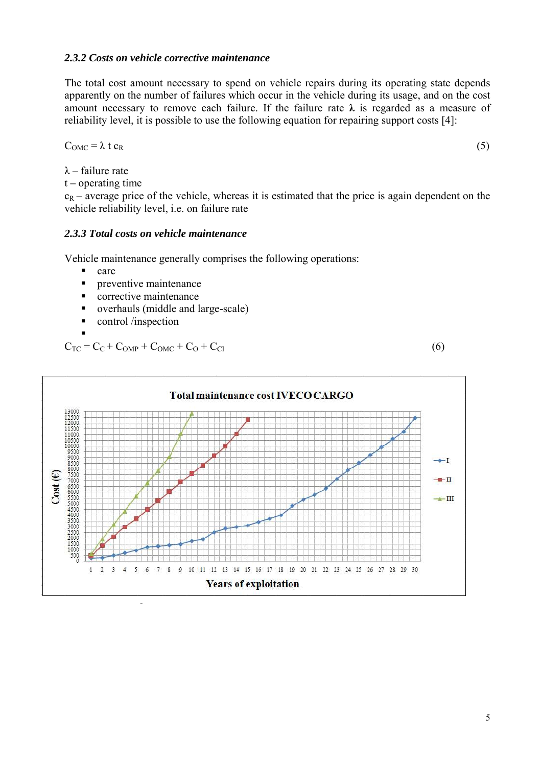#### *2.3.2 Costs on vehicle corrective maintenance*

The total cost amount necessary to spend on vehicle repairs during its operating state depends apparently on the number of failures which occur in the vehicle during its usage, and on the cost amount necessary to remove each failure. If the failure rate  $\lambda$  is regarded as a measure of reliability level, it is possible to use the following equation for repairing support costs [4]:

$$
C_{\text{OMC}} = \lambda t c_{\text{R}} \tag{5}
$$

 $λ$  – failure rate

t **–** operating time

 $c_R$  – average price of the vehicle, whereas it is estimated that the price is again dependent on the vehicle reliability level, i.e. on failure rate

### *2.3.3 Total costs on vehicle maintenance*

Vehicle maintenance generally comprises the following operations:

- care
- **Performance** preventive maintenance
- corrective maintenance
- overhauls (middle and large-scale)
- control /inspection

 $\blacksquare$  $C_{TC} = C_C + C_{OMP} + C_{OMC} + C_O + C_{CI}$  (6)



5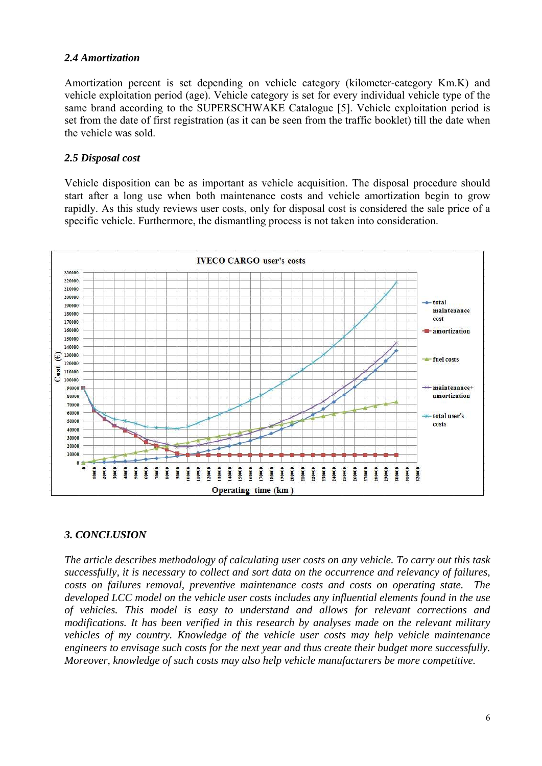### *2.4 Amortization*

Amortization percent is set depending on vehicle category (kilometer-category Km.K) and vehicle exploitation period (age). Vehicle category is set for every individual vehicle type of the same brand according to the SUPERSCHWAKE Catalogue [5]. Vehicle exploitation period is set from the date of first registration (as it can be seen from the traffic booklet) till the date when the vehicle was sold.

#### *2.5 Disposal cost*

Vehicle disposition can be as important as vehicle acquisition. The disposal procedure should start after a long use when both maintenance costs and vehicle amortization begin to grow rapidly. As this study reviews user costs, only for disposal cost is considered the sale price of a specific vehicle. Furthermore, the dismantling process is not taken into consideration.



### *3. CONCLUSION*

*The article describes methodology of calculating user costs on any vehicle. To carry out this task successfully, it is necessary to collect and sort data on the occurrence and relevancy of failures, costs on failures removal, preventive maintenance costs and costs on operating state. The developed LCC model on the vehicle user costs includes any influential elements found in the use of vehicles. This model is easy to understand and allows for relevant corrections and modifications. It has been verified in this research by analyses made on the relevant military vehicles of my country. Knowledge of the vehicle user costs may help vehicle maintenance engineers to envisage such costs for the next year and thus create their budget more successfully. Moreover, knowledge of such costs may also help vehicle manufacturers be more competitive.*